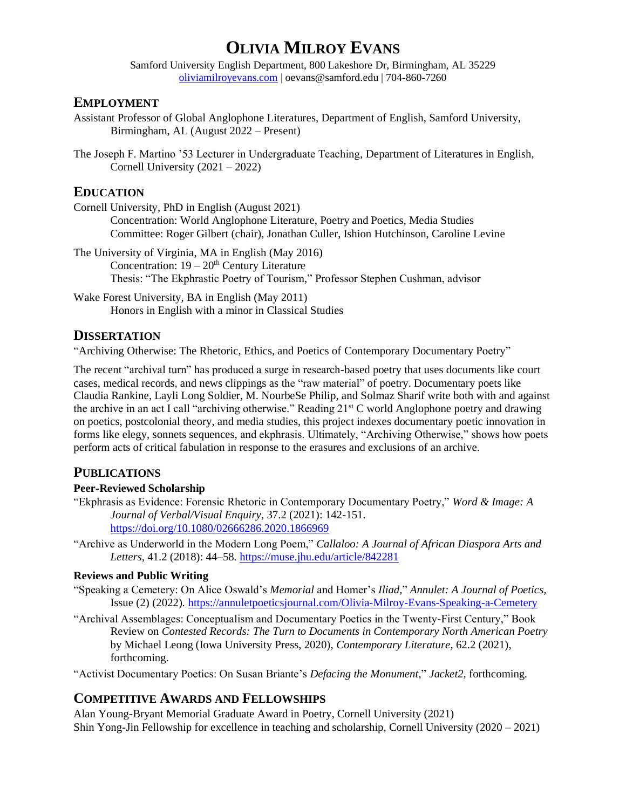# **OLIVIA MILROY EVANS**

Samford University English Department, 800 Lakeshore Dr, Birmingham, AL 35229 [oliviamilroyevans.com](https://www.oliviamilroyevans.com/) | oevans@samford.edu | 704-860-7260

# **EMPLOYMENT**

- Assistant Professor of Global Anglophone Literatures, Department of English, Samford University, Birmingham, AL (August 2022 – Present)
- The Joseph F. Martino '53 Lecturer in Undergraduate Teaching, Department of Literatures in English, Cornell University (2021 – 2022)

# **EDUCATION**

Cornell University, PhD in English (August 2021) Concentration: World Anglophone Literature, Poetry and Poetics, Media Studies Committee: Roger Gilbert (chair), Jonathan Culler, Ishion Hutchinson, Caroline Levine

The University of Virginia, MA in English (May 2016) Concentration:  $19 - 20$ <sup>th</sup> Century Literature Thesis: "The Ekphrastic Poetry of Tourism," Professor Stephen Cushman, advisor

Wake Forest University, BA in English (May 2011) Honors in English with a minor in Classical Studies

# **DISSERTATION**

"Archiving Otherwise: The Rhetoric, Ethics, and Poetics of Contemporary Documentary Poetry"

The recent "archival turn" has produced a surge in research-based poetry that uses documents like court cases, medical records, and news clippings as the "raw material" of poetry. Documentary poets like Claudia Rankine, Layli Long Soldier, M. NourbeSe Philip, and Solmaz Sharif write both with and against the archive in an act I call "archiving otherwise." Reading 21<sup>st</sup> C world Anglophone poetry and drawing on poetics, postcolonial theory, and media studies, this project indexes documentary poetic innovation in forms like elegy, sonnets sequences, and ekphrasis. Ultimately, "Archiving Otherwise," shows how poets perform acts of critical fabulation in response to the erasures and exclusions of an archive.

# **PUBLICATIONS**

# **Peer-Reviewed Scholarship**

- "Ekphrasis as Evidence: Forensic Rhetoric in Contemporary Documentary Poetry," *Word & Image: A Journal of Verbal/Visual Enquiry*, 37.2 (2021): 142-151. <https://doi.org/10.1080/02666286.2020.1866969>
- "Archive as Underworld in the Modern Long Poem," *Callaloo: A Journal of African Diaspora Arts and Letters,* 41.2 (2018): 44–58*.* <https://muse.jhu.edu/article/842281>

# **Reviews and Public Writing**

- "Speaking a Cemetery: On Alice Oswald's *Memorial* and Homer's *Iliad,*" *Annulet: A Journal of Poetics,*  Issue (2) (2022)*.* <https://annuletpoeticsjournal.com/Olivia-Milroy-Evans-Speaking-a-Cemetery>
- "Archival Assemblages: Conceptualism and Documentary Poetics in the Twenty-First Century," Book Review on *Contested Records: The Turn to Documents in Contemporary North American Poetry*  by Michael Leong (Iowa University Press, 2020), *Contemporary Literature,* 62.2 (2021), forthcoming.

"Activist Documentary Poetics: On Susan Briante's *Defacing the Monument*," *Jacket2,* forthcoming*.*

# **COMPETITIVE AWARDS AND FELLOWSHIPS**

Alan Young-Bryant Memorial Graduate Award in Poetry, Cornell University (2021) Shin Yong-Jin Fellowship for excellence in teaching and scholarship, Cornell University (2020 – 2021)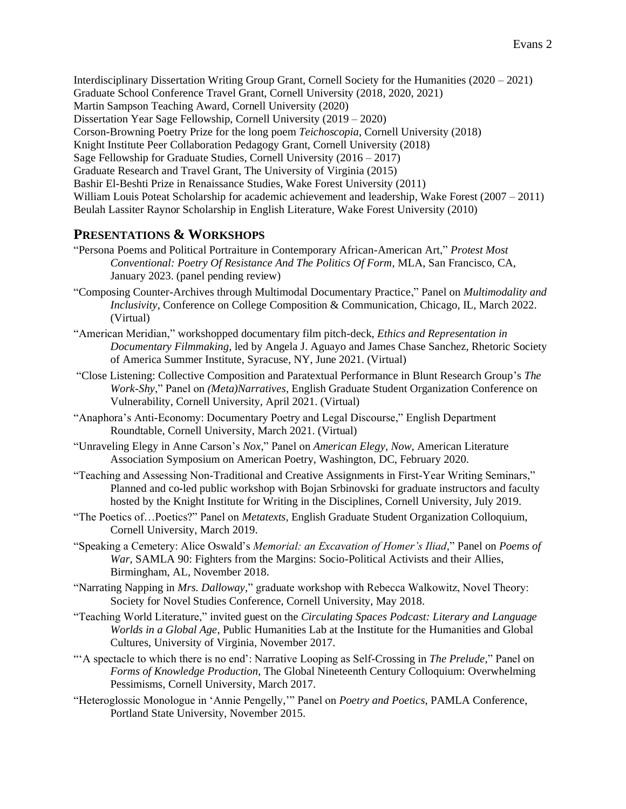Interdisciplinary Dissertation Writing Group Grant, Cornell Society for the Humanities (2020 – 2021) Graduate School Conference Travel Grant, Cornell University (2018, 2020, 2021) Martin Sampson Teaching Award, Cornell University (2020) Dissertation Year Sage Fellowship, Cornell University (2019 – 2020) Corson-Browning Poetry Prize for the long poem *Teichoscopia*, Cornell University (2018) Knight Institute Peer Collaboration Pedagogy Grant, Cornell University (2018) Sage Fellowship for Graduate Studies, Cornell University (2016 – 2017) Graduate Research and Travel Grant, The University of Virginia (2015) Bashir El-Beshti Prize in Renaissance Studies, Wake Forest University (2011) William Louis Poteat Scholarship for academic achievement and leadership, Wake Forest (2007 – 2011) Beulah Lassiter Raynor Scholarship in English Literature, Wake Forest University (2010)

# **PRESENTATIONS & WORKSHOPS**

- "Persona Poems and Political Portraiture in Contemporary African-American Art," *Protest Most Conventional: Poetry Of Resistance And The Politics Of Form,* MLA, San Francisco, CA, January 2023. (panel pending review)
- "Composing Counter-Archives through Multimodal Documentary Practice," Panel on *Multimodality and Inclusivity*, Conference on College Composition & Communication, Chicago, IL, March 2022. (Virtual)
- "American Meridian," workshopped documentary film pitch-deck, *Ethics and Representation in Documentary Filmmaking*, led by Angela J. Aguayo and James Chase Sanchez*,* Rhetoric Society of America Summer Institute, Syracuse, NY, June 2021. (Virtual)
- "Close Listening: Collective Composition and Paratextual Performance in Blunt Research Group's *The Work-Shy*," Panel on *(Meta)Narratives*, English Graduate Student Organization Conference on Vulnerability, Cornell University, April 2021. (Virtual)
- "Anaphora's Anti-Economy: Documentary Poetry and Legal Discourse," English Department Roundtable, Cornell University, March 2021. (Virtual)
- "Unraveling Elegy in Anne Carson's *Nox*," Panel on *American Elegy, Now*, American Literature Association Symposium on American Poetry, Washington, DC, February 2020.
- "Teaching and Assessing Non-Traditional and Creative Assignments in First-Year Writing Seminars," Planned and co-led public workshop with Bojan Srbinovski for graduate instructors and faculty hosted by the Knight Institute for Writing in the Disciplines, Cornell University, July 2019.
- "The Poetics of…Poetics?" Panel on *Metatexts,* English Graduate Student Organization Colloquium, Cornell University, March 2019.
- "Speaking a Cemetery: Alice Oswald's *Memorial: an Excavation of Homer's Iliad,*" Panel on *Poems of War*, SAMLA 90: Fighters from the Margins: Socio-Political Activists and their Allies, Birmingham, AL, November 2018.
- "Narrating Napping in *Mrs. Dalloway,*" graduate workshop with Rebecca Walkowitz, Novel Theory: Society for Novel Studies Conference, Cornell University, May 2018.
- "Teaching World Literature," invited guest on the *Circulating Spaces Podcast: Literary and Language Worlds in a Global Age*, Public Humanities Lab at the Institute for the Humanities and Global Cultures, University of Virginia, November 2017.
- "'A spectacle to which there is no end': Narrative Looping as Self-Crossing in *The Prelude,*" Panel on *Forms of Knowledge Production*, The Global Nineteenth Century Colloquium: Overwhelming Pessimisms, Cornell University, March 2017.
- "Heteroglossic Monologue in 'Annie Pengelly,'" Panel on *Poetry and Poetics*, PAMLA Conference, Portland State University, November 2015.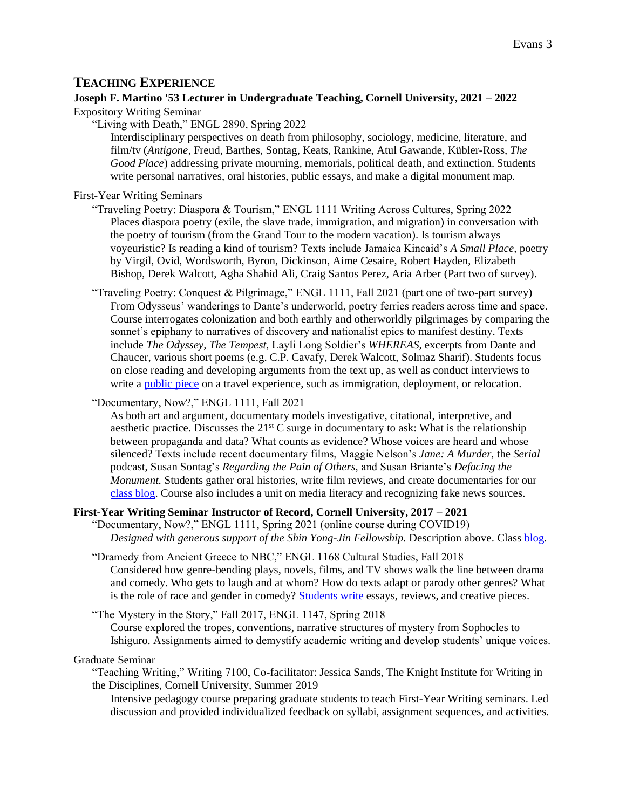# **TEACHING EXPERIENCE**

# **Joseph F. Martino '53 Lecturer in Undergraduate Teaching, Cornell University, 2021 – 2022**

Expository Writing Seminar

"Living with Death," ENGL 2890, Spring 2022

Interdisciplinary perspectives on death from philosophy, sociology, medicine, literature, and film/tv (*Antigone,* Freud, Barthes, Sontag, Keats, Rankine, Atul Gawande, Kübler-Ross*, The Good Place*) addressing private mourning, memorials, political death, and extinction. Students write personal narratives, oral histories, public essays, and make a digital monument map.

First-Year Writing Seminars

- "Traveling Poetry: Diaspora & Tourism," ENGL 1111 Writing Across Cultures, Spring 2022 Places diaspora poetry (exile, the slave trade, immigration, and migration) in conversation with the poetry of tourism (from the Grand Tour to the modern vacation). Is tourism always voyeuristic? Is reading a kind of tourism? Texts include Jamaica Kincaid's *A Small Place,* poetry by Virgil, Ovid, Wordsworth, Byron, Dickinson, Aime Cesaire, Robert Hayden, Elizabeth Bishop, Derek Walcott, Agha Shahid Ali, Craig Santos Perez, Aria Arber (Part two of survey).
- "Traveling Poetry: Conquest & Pilgrimage," ENGL 1111, Fall 2021 (part one of two-part survey) From Odysseus' wanderings to Dante's underworld, poetry ferries readers across time and space. Course interrogates colonization and both earthly and otherworldly pilgrimages by comparing the sonnet's epiphany to narratives of discovery and nationalist epics to manifest destiny. Texts include *The Odyssey, The Tempest,* Layli Long Soldier's *WHEREAS,* excerpts from Dante and Chaucer, various short poems (e.g. C.P. Cavafy, Derek Walcott, Solmaz Sharif). Students focus on close reading and developing arguments from the text up, as well as conduct interviews to write a [public piece](https://blogs.cornell.edu/travelingpoetry/) on a travel experience, such as immigration, deployment, or relocation.

"Documentary, Now?," ENGL 1111, Fall 2021

As both art and argument, documentary models investigative, citational, interpretive, and aesthetic practice. Discusses the  $21<sup>st</sup>$  C surge in documentary to ask: What is the relationship between propaganda and data? What counts as evidence? Whose voices are heard and whose silenced? Texts include recent documentary films, Maggie Nelson's *Jane: A Murder,* the *Serial*  podcast, Susan Sontag's *Regarding the Pain of Others,* and Susan Briante's *Defacing the Monument.* Students gather oral histories, write film reviews, and create documentaries for our [class blog.](https://blogs.cornell.edu/documentary/) Course also includes a unit on media literacy and recognizing fake news sources.

# **First-Year Writing Seminar Instructor of Record, Cornell University, 2017 – 2021**

"Documentary, Now?," ENGL 1111, Spring 2021 (online course during COVID19) *Designed with generous support of the Shin Yong-Jin Fellowship.* Description above. Clas[s blog.](https://blogs.cornell.edu/documentarynow/)

"Dramedy from Ancient Greece to NBC," ENGL 1168 Cultural Studies, Fall 2018 Considered how genre-bending plays, novels, films, and TV shows walk the line between drama and comedy. Who gets to laugh and at whom? How do texts adapt or parody other genres? What is the role of race and gender in comedy? [Students write](https://blogs.cornell.edu/dramedy/) essays, reviews, and creative pieces.

"The Mystery in the Story," Fall 2017, ENGL 1147, Spring 2018 Course explored the tropes, conventions, narrative structures of mystery from Sophocles to Ishiguro. Assignments aimed to demystify academic writing and develop students' unique voices.

#### Graduate Seminar

"Teaching Writing," Writing 7100, Co-facilitator: Jessica Sands, The Knight Institute for Writing in the Disciplines, Cornell University, Summer 2019

Intensive pedagogy course preparing graduate students to teach First-Year Writing seminars. Led discussion and provided individualized feedback on syllabi, assignment sequences, and activities.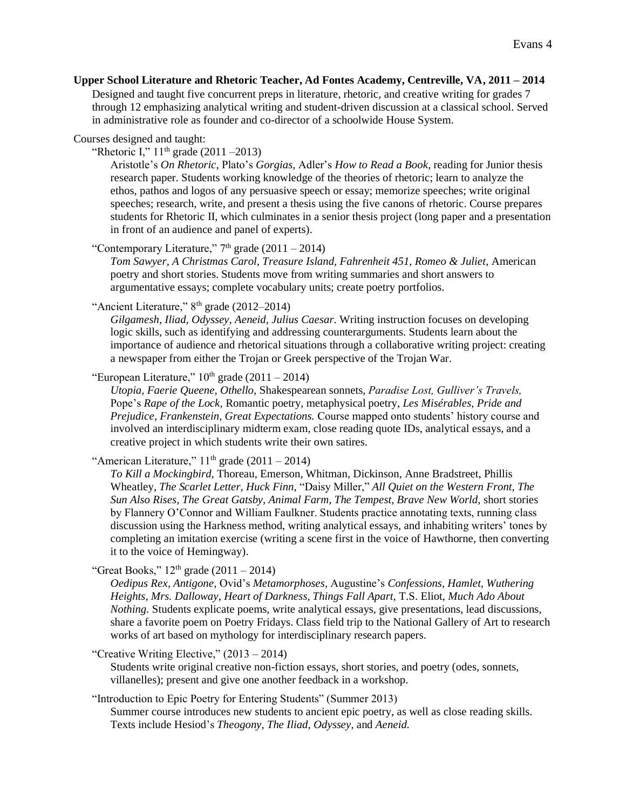#### **Upper School Literature and Rhetoric Teacher, Ad Fontes Academy, Centreville, VA, 2011 – 2014**

Designed and taught five concurrent preps in literature, rhetoric, and creative writing for grades 7 through 12 emphasizing analytical writing and student-driven discussion at a classical school. Served in administrative role as founder and co-director of a schoolwide House System.

Courses designed and taught:

"Rhetoric I,"  $11^{th}$  grade (2011 –2013)

Aristotle's *On Rhetoric,* Plato's *Gorgias,* Adler's *How to Read a Book,* reading for Junior thesis research paper. Students working knowledge of the theories of rhetoric; learn to analyze the ethos, pathos and logos of any persuasive speech or essay; memorize speeches; write original speeches; research, write, and present a thesis using the five canons of rhetoric. Course prepares students for Rhetoric II, which culminates in a senior thesis project (long paper and a presentation in front of an audience and panel of experts).

"Contemporary Literature,"  $7<sup>th</sup>$  grade (2011 – 2014)

*Tom Sawyer, A Christmas Carol, Treasure Island, Fahrenheit 451, Romeo & Juliet,* American poetry and short stories. Students move from writing summaries and short answers to argumentative essays; complete vocabulary units; create poetry portfolios.

# "Ancient Literature,"  $8<sup>th</sup>$  grade (2012–2014)

*Gilgamesh, Iliad, Odyssey, Aeneid, Julius Caesar*. Writing instruction focuses on developing logic skills, such as identifying and addressing counterarguments. Students learn about the importance of audience and rhetorical situations through a collaborative writing project: creating a newspaper from either the Trojan or Greek perspective of the Trojan War.

"European Literature,"  $10^{th}$  grade (2011 – 2014)

*Utopia, Faerie Queene, Othello,* Shakespearean sonnets, *Paradise Lost, Gulliver's Travels,*  Pope's *Rape of the Lock,* Romantic poetry, metaphysical poetry, *Les Misérables, Pride and Prejudice, Frankenstein, Great Expectations.* Course mapped onto students' history course and involved an interdisciplinary midterm exam, close reading quote IDs, analytical essays, and a creative project in which students write their own satires.

"American Literature,"  $11<sup>th</sup>$  grade (2011 – 2014)

*To Kill a Mockingbird,* Thoreau, Emerson, Whitman, Dickinson, Anne Bradstreet, Phillis Wheatley, *The Scarlet Letter, Huck Finn,* "Daisy Miller," *All Quiet on the Western Front, The Sun Also Rises, The Great Gatsby, Animal Farm, The Tempest, Brave New World,* short stories by Flannery O'Connor and William Faulkner. Students practice annotating texts, running class discussion using the Harkness method, writing analytical essays, and inhabiting writers' tones by completing an imitation exercise (writing a scene first in the voice of Hawthorne, then converting it to the voice of Hemingway).

"Great Books,"  $12^{th}$  grade  $(2011 - 2014)$ 

*Oedipus Rex, Antigone,* Ovid's *Metamorphoses,* Augustine's *Confessions, Hamlet, Wuthering Heights, Mrs. Dalloway, Heart of Darkness, Things Fall Apart,* T.S. Eliot, *Much Ado About Nothing.* Students explicate poems, write analytical essays, give presentations, lead discussions, share a favorite poem on Poetry Fridays. Class field trip to the National Gallery of Art to research works of art based on mythology for interdisciplinary research papers.

"Creative Writing Elective," (2013 – 2014)

Students write original creative non-fiction essays, short stories, and poetry (odes, sonnets, villanelles); present and give one another feedback in a workshop.

"Introduction to Epic Poetry for Entering Students" (Summer 2013)

Summer course introduces new students to ancient epic poetry, as well as close reading skills. Texts include Hesiod's *Theogony, The Iliad, Odyssey,* and *Aeneid.*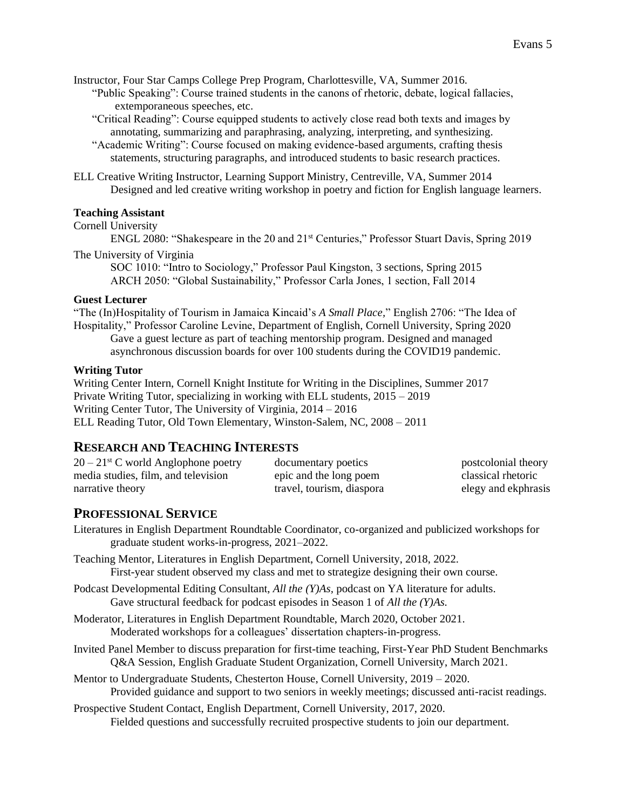Instructor, Four Star Camps College Prep Program, Charlottesville, VA, Summer 2016. "Public Speaking": Course trained students in the canons of rhetoric, debate, logical fallacies, extemporaneous speeches, etc.

"Critical Reading": Course equipped students to actively close read both texts and images by annotating, summarizing and paraphrasing, analyzing, interpreting, and synthesizing.

"Academic Writing": Course focused on making evidence-based arguments, crafting thesis statements, structuring paragraphs, and introduced students to basic research practices.

ELL Creative Writing Instructor, Learning Support Ministry, Centreville, VA, Summer 2014 Designed and led creative writing workshop in poetry and fiction for English language learners.

#### **Teaching Assistant**

Cornell University

ENGL 2080: "Shakespeare in the 20 and 21st Centuries," Professor Stuart Davis, Spring 2019 The University of Virginia

SOC 1010: "Intro to Sociology," Professor Paul Kingston, 3 sections, Spring 2015 ARCH 2050: "Global Sustainability," Professor Carla Jones, 1 section, Fall 2014

#### **Guest Lecturer**

"The (In)Hospitality of Tourism in Jamaica Kincaid's *A Small Place,*" English 2706: "The Idea of Hospitality," Professor Caroline Levine, Department of English, Cornell University, Spring 2020 Gave a guest lecture as part of teaching mentorship program. Designed and managed

asynchronous discussion boards for over 100 students during the COVID19 pandemic.

#### **Writing Tutor**

Writing Center Intern, Cornell Knight Institute for Writing in the Disciplines, Summer 2017 Private Writing Tutor, specializing in working with ELL students, 2015 – 2019 Writing Center Tutor, The University of Virginia, 2014 – 2016 ELL Reading Tutor, Old Town Elementary, Winston-Salem, NC, 2008 – 2011

# **RESEARCH AND TEACHING INTERESTS**

| $20-21$ <sup>st</sup> C world Anglophone poetry | documentary poetics       | postcolonial theory |
|-------------------------------------------------|---------------------------|---------------------|
| media studies, film, and television             | epic and the long poem    | classical rhetoric  |
| narrative theory                                | travel, tourism, diaspora | elegy and ekphrasis |

# **PROFESSIONAL SERVICE**

Literatures in English Department Roundtable Coordinator, co-organized and publicized workshops for graduate student works-in-progress, 2021–2022.

- Teaching Mentor, Literatures in English Department, Cornell University, 2018, 2022. First-year student observed my class and met to strategize designing their own course.
- Podcast Developmental Editing Consultant, *All the (Y)As,* podcast on YA literature for adults. Gave structural feedback for podcast episodes in Season 1 of *All the (Y)As.*
- Moderator, Literatures in English Department Roundtable, March 2020, October 2021. Moderated workshops for a colleagues' dissertation chapters-in-progress.
- Invited Panel Member to discuss preparation for first-time teaching, First-Year PhD Student Benchmarks Q&A Session, English Graduate Student Organization, Cornell University, March 2021.
- Mentor to Undergraduate Students, Chesterton House, Cornell University, 2019 2020. Provided guidance and support to two seniors in weekly meetings; discussed anti-racist readings.
- Prospective Student Contact, English Department, Cornell University, 2017, 2020. Fielded questions and successfully recruited prospective students to join our department.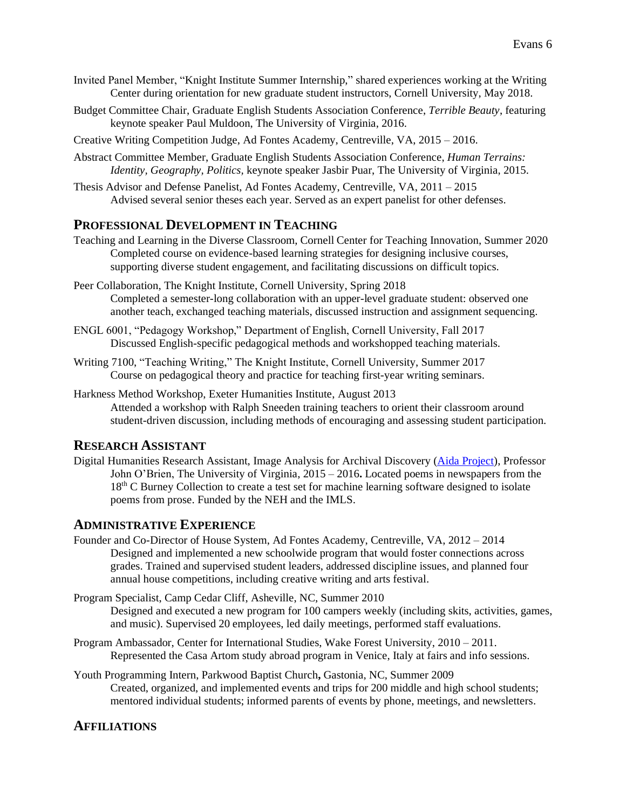- Invited Panel Member, "Knight Institute Summer Internship," shared experiences working at the Writing Center during orientation for new graduate student instructors, Cornell University, May 2018.
- Budget Committee Chair, Graduate English Students Association Conference, *Terrible Beauty*, featuring keynote speaker Paul Muldoon, The University of Virginia, 2016.
- Creative Writing Competition Judge, Ad Fontes Academy, Centreville, VA, 2015 2016.
- Abstract Committee Member, Graduate English Students Association Conference, *Human Terrains: Identity, Geography, Politics,* keynote speaker Jasbir Puar, The University of Virginia, 2015.
- Thesis Advisor and Defense Panelist, Ad Fontes Academy, Centreville, VA, 2011 2015 Advised several senior theses each year. Served as an expert panelist for other defenses.

#### **PROFESSIONAL DEVELOPMENT IN TEACHING**

- Teaching and Learning in the Diverse Classroom, Cornell Center for Teaching Innovation, Summer 2020 Completed course on evidence-based learning strategies for designing inclusive courses, supporting diverse student engagement, and facilitating discussions on difficult topics.
- Peer Collaboration, The Knight Institute, Cornell University, Spring 2018 Completed a semester-long collaboration with an upper-level graduate student: observed one another teach, exchanged teaching materials, discussed instruction and assignment sequencing.
- ENGL 6001, "Pedagogy Workshop," Department of English, Cornell University, Fall 2017 Discussed English-specific pedagogical methods and workshopped teaching materials.
- Writing 7100, "Teaching Writing," The Knight Institute, Cornell University, Summer 2017 Course on pedagogical theory and practice for teaching first-year writing seminars.
- Harkness Method Workshop, Exeter Humanities Institute, August 2013 Attended a workshop with Ralph Sneeden training teachers to orient their classroom around student-driven discussion, including methods of encouraging and assessing student participation.

#### **RESEARCH ASSISTANT**

Digital Humanities Research Assistant, Image Analysis for Archival Discovery [\(Aida Project\)](https://projectaida.org/), Professor John O'Brien, The University of Virginia, 2015 – 2016**.** Located poems in newspapers from the 18th C Burney Collection to create a test set for machine learning software designed to isolate poems from prose. Funded by the NEH and the IMLS.

# **ADMINISTRATIVE EXPERIENCE**

- Founder and Co-Director of House System, Ad Fontes Academy, Centreville, VA, 2012 2014 Designed and implemented a new schoolwide program that would foster connections across grades. Trained and supervised student leaders, addressed discipline issues, and planned four annual house competitions, including creative writing and arts festival.
- Program Specialist, Camp Cedar Cliff, Asheville, NC, Summer 2010 Designed and executed a new program for 100 campers weekly (including skits, activities, games, and music). Supervised 20 employees, led daily meetings, performed staff evaluations.
- Program Ambassador, Center for International Studies, Wake Forest University, 2010 2011. Represented the Casa Artom study abroad program in Venice, Italy at fairs and info sessions.
- Youth Programming Intern, Parkwood Baptist Church**,** Gastonia, NC, Summer 2009 Created, organized, and implemented events and trips for 200 middle and high school students; mentored individual students; informed parents of events by phone, meetings, and newsletters.

#### **AFFILIATIONS**